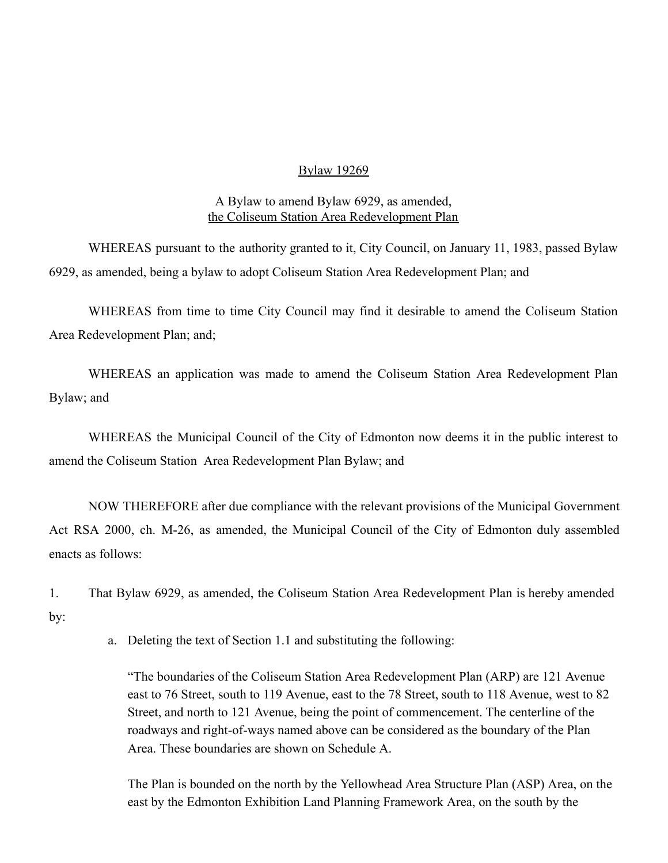#### Bylaw 19269

A Bylaw to amend Bylaw 6929, as amended, the Coliseum Station Area Redevelopment Plan

WHEREAS pursuant to the authority granted to it, City Council, on January 11, 1983, passed Bylaw 6929, as amended, being a bylaw to adopt Coliseum Station Area Redevelopment Plan; and

WHEREAS from time to time City Council may find it desirable to amend the Coliseum Station Area Redevelopment Plan; and;

WHEREAS an application was made to amend the Coliseum Station Area Redevelopment Plan Bylaw; and

WHEREAS the Municipal Council of the City of Edmonton now deems it in the public interest to amend the Coliseum Station Area Redevelopment Plan Bylaw; and

NOW THEREFORE after due compliance with the relevant provisions of the Municipal Government Act RSA 2000, ch. M-26, as amended, the Municipal Council of the City of Edmonton duly assembled enacts as follows:

1. That Bylaw 6929, as amended, the Coliseum Station Area Redevelopment Plan is hereby amended by:

a. Deleting the text of Section 1.1 and substituting the following:

"The boundaries of the Coliseum Station Area Redevelopment Plan (ARP) are 121 Avenue east to 76 Street, south to 119 Avenue, east to the 78 Street, south to 118 Avenue, west to 82 Street, and north to 121 Avenue, being the point of commencement. The centerline of the roadways and right-of-ways named above can be considered as the boundary of the Plan Area. These boundaries are shown on Schedule A.

The Plan is bounded on the north by the Yellowhead Area Structure Plan (ASP) Area, on the east by the Edmonton Exhibition Land Planning Framework Area, on the south by the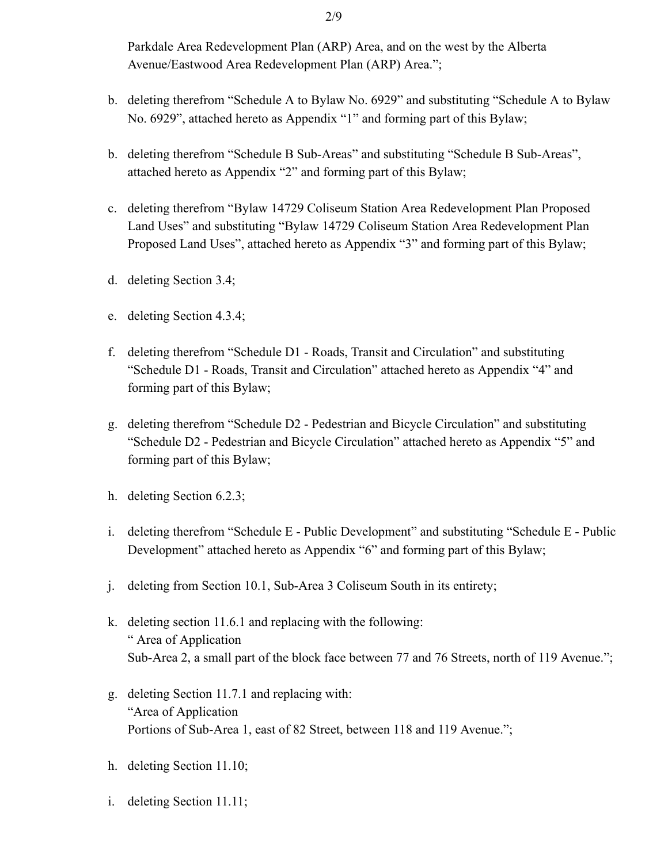Parkdale Area Redevelopment Plan (ARP) Area, and on the west by the Alberta Avenue/Eastwood Area Redevelopment Plan (ARP) Area.";

- b. deleting therefrom "Schedule A to Bylaw No. 6929" and substituting "Schedule A to Bylaw No. 6929", attached hereto as Appendix "1" and forming part of this Bylaw;
- b. deleting therefrom "Schedule B Sub-Areas" and substituting "Schedule B Sub-Areas", attached hereto as Appendix "2" and forming part of this Bylaw;
- c. deleting therefrom "Bylaw 14729 Coliseum Station Area Redevelopment Plan Proposed Land Uses" and substituting "Bylaw 14729 Coliseum Station Area Redevelopment Plan Proposed Land Uses", attached hereto as Appendix "3" and forming part of this Bylaw;
- d. deleting Section 3.4;
- e. deleting Section 4.3.4;
- f. deleting therefrom "Schedule D1 Roads, Transit and Circulation" and substituting "Schedule D1 - Roads, Transit and Circulation" attached hereto as Appendix "4" and forming part of this Bylaw;
- g. deleting therefrom "Schedule D2 Pedestrian and Bicycle Circulation" and substituting "Schedule D2 - Pedestrian and Bicycle Circulation" attached hereto as Appendix "5" and forming part of this Bylaw;
- h. deleting Section 6.2.3;
- i. deleting therefrom "Schedule E Public Development" and substituting "Schedule E Public Development" attached hereto as Appendix "6" and forming part of this Bylaw;
- j. deleting from Section 10.1, Sub-Area 3 Coliseum South in its entirety;
- k. deleting section 11.6.1 and replacing with the following: " Area of Application Sub-Area 2, a small part of the block face between 77 and 76 Streets, north of 119 Avenue.";
- g. deleting Section 11.7.1 and replacing with: "Area of Application Portions of Sub-Area 1, east of 82 Street, between 118 and 119 Avenue.";
- h. deleting Section 11.10;
- i. deleting Section 11.11;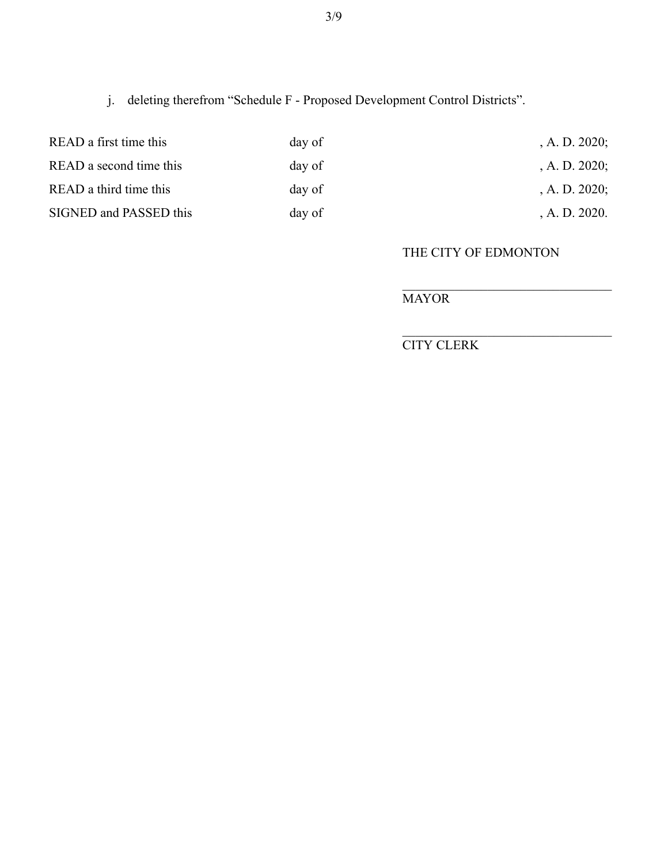j. deleting therefrom "Schedule F - Proposed Development Control Districts".

| READ a first time this<br>READ a second time this | day of | , A. D. $2020$ ; |
|---------------------------------------------------|--------|------------------|
|                                                   | day of | , A. D. $2020$ ; |
| READ a third time this                            | day of | , A. D. $2020$ ; |
| SIGNED and PASSED this                            | day of | A. D. 2020.      |

### THE CITY OF EDMONTON

# MAYOR

CITY CLERK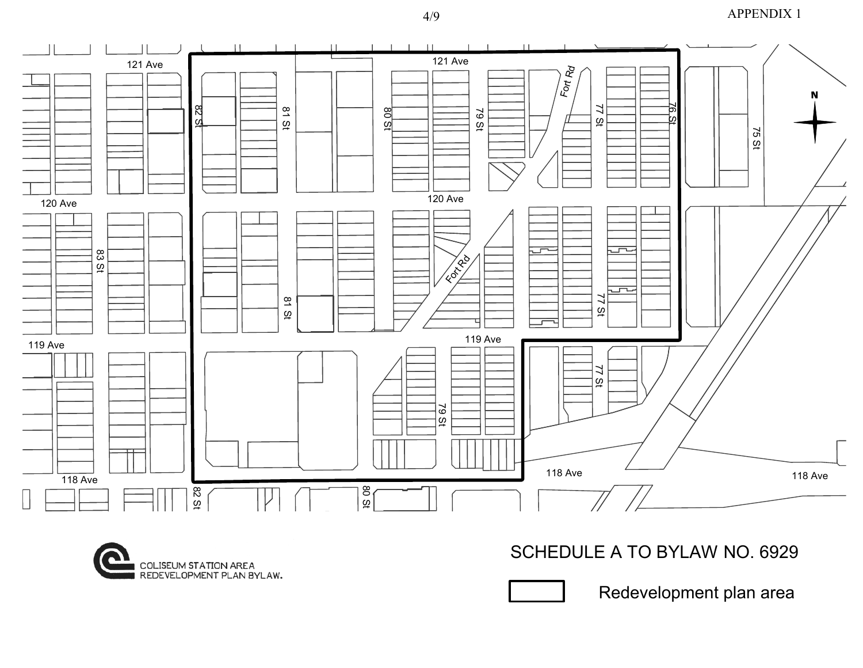#### APPENDIX 1





# SCHEDULE A TO BYLAW NO. 6929

Redevelopment plan area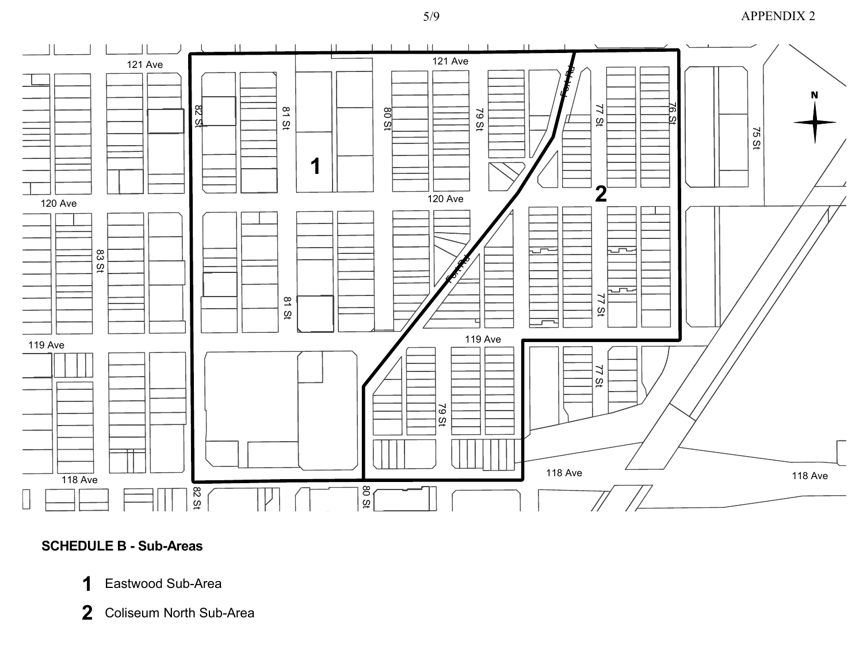### APPENDIX 2



### **SCHEDULE B - Sub-Areas**

- Eastwood Sub-Area **1**
- Coliseum North Sub-Area **2**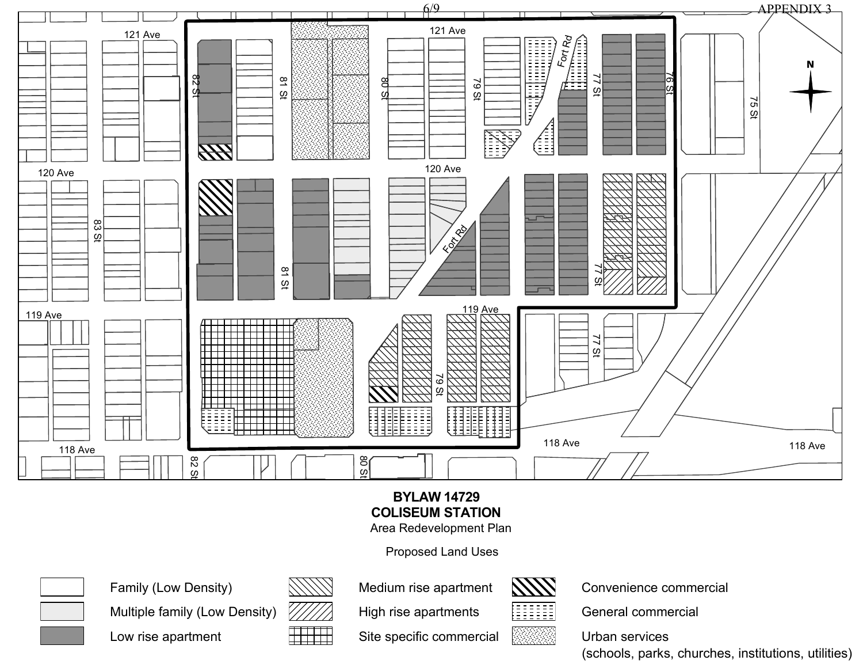

# **BYLAW 14729 COLISEUM STATION**

Area Redevelopment Plan

Proposed Land Uses



Family (Low Density) Multiple family (Low Density)

Low rise apartment



Medium rise apartment

High rise apartments



Convenience commercial

General commercial

Urban services

(schools, parks, churches, institutions, utilities)

Site specific commercial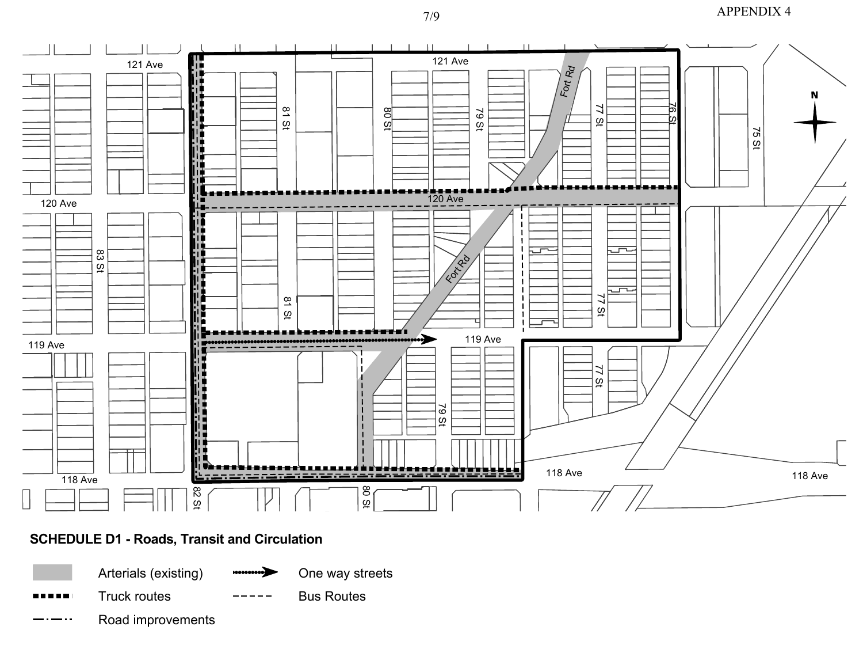### APPENDIX 4



# **SCHEDULE D1 - Roads, Transit and Circulation**

Arterials (existing)

Truck routes

One way streets

Bus Routes

Road improvements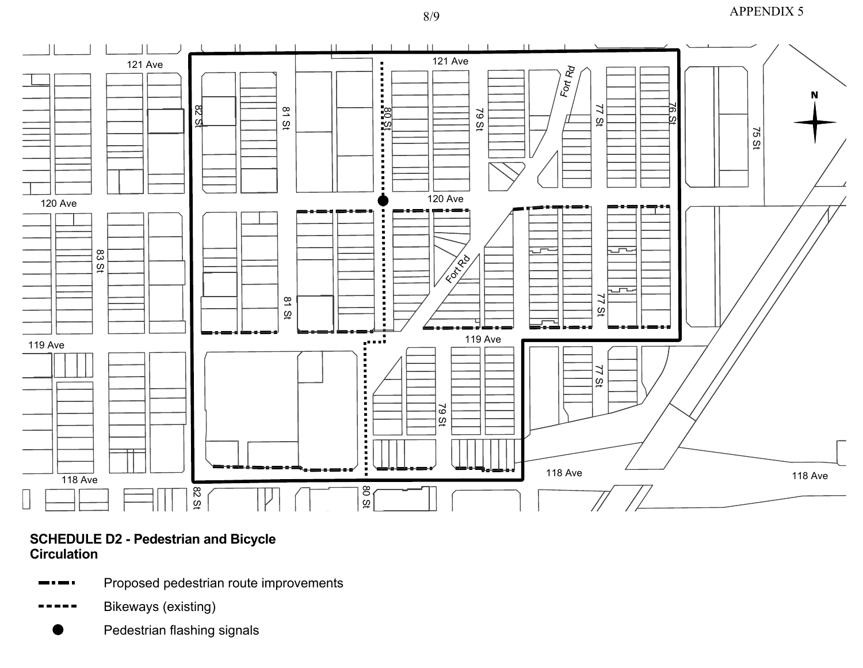# APPENDIX 5



### **SCHEDULE D2 - Pedestrian and Bicycle Circulation**

- Proposed pedestrian route improvements
- Bikeways (existing)
	- Pedestrian flashing signals